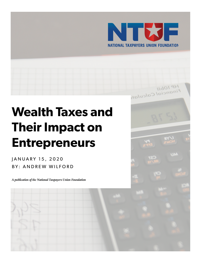

11dor9

ir 10bll<br>nancial Calculata

# **Wealth Taxes and Their Impact on Entrepreneurs**

JANUARY 15, 2020 BY: ANDREW WILFORD

*A publication of the National Taxpayers Union Foundation*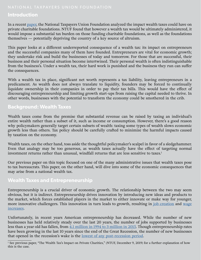# **Introduction**

In a recent [paper,](https://www.ntu.org/foundation/detail/the-wealth-taxs-impact-on-private-charities) the National Taxpayers Union Foundation analyzed the impact wealth taxes could have on private charitable foundations. NTUF found that however a wealth tax would be ultimately administered, it would impose a substantial tax burden on those funding charitable foundations, as well as the foundations themselves — potentially depriving the country of a key source of altruism.

This paper looks at a different underreported consequence of a wealth tax: its impact on entrepreneurs and the successful companies many of them have founded. Entrepreneurs are vital for economic growth; they undertake risk and build the businesses of today and tomorrow. For those that are successful, their business and their personal situation become intertwined. Their personal wealth is often indistinguishable from the business's. Under a wealth tax, their hard work is punished and the business they run can suffer the consequences.

With a wealth tax in place, significant net worth represents a tax liability, leaving entrepreneurs in a predicament. As wealth does not always translate to liquidity, founders may be forced to continually liquidate ownership in their companies in order to pay their tax bills. This would have the effect of discouraging entrepreneurship and limiting growth start-ups from raising the capital needed to thrive. In other words, businesses with the potential to transform the economy could be smothered in the crib.

# **Background: Wealth Taxes**

Wealth taxes come from the premise that substantial revenue can be raised by taxing an individual's entire wealth rather than a subset of it, such as income or consumption. However, there's a good reason why policymakers generally target certain subsets of wealth: taxing some types of wealth slows economic growth less than others. Tax policy should be carefully crafted to minimize the harmful impacts caused by taxation on the economy.

Wealth taxes, on the other hand, toss aside the thoughtful policymaker's scalpel in favor of a sledgehammer. Even that analogy may be too generous, as wealth taxes actually have the effect of targeting normal investment returns rather than unusual, windfall returns that are less sensitive to taxes.<sup>1</sup>

Our previous paper on this topic focused on one of the many administrative issues that wealth taxes pose to tax bureaucrats. This paper, on the other hand, will dive into some of the economic consequences that may arise from a national wealth tax.

## **Wealth Taxes and Entrepreneurship**

Entrepreneurship is a crucial driver of economic growth. The relationship between the two may seem obvious, but it is indirect. Entrepreneurship drives innovation by introducing new ideas and products to the market, which forces established players in the market to either innovate or make way for younger, more innovative challengers. This innovation in turn leads to growth, resulting in [job creation](https://economics21.org/html/entrepreneurship-key-economic-growth-and-job-creation-965.html) and [wage](https://assets.aspeninstitute.org/content/uploads/2019/01/3.2-Pgs.-168-179-The-Link-Between-Wages-and-Productivity-is-Strong.pdf) [increases.](https://assets.aspeninstitute.org/content/uploads/2019/01/3.2-Pgs.-168-179-The-Link-Between-Wages-and-Productivity-is-Strong.pdf)

Unfortunately, in recent years American entrepreneurship has decreased. While the number of new businesses has held relatively steady over the last 20 years, the number of jobs supported by businesses less than a year old has fallen, from [4.1 million in 1994 to 3 million in 2015](https://www.bls.gov/bdm/entrepreneurship/entrepreneurship.htm). Though entrepreneurship rates have been growing in the last 10 years since the end of the Great Recession, the number of new businesses that opened in the recession's wake is the <u>lowest of any post-recession period</u>.

<sup>1</sup> See previous paper, "The Wealth Tax's Impact on Private Charities," (NTUF, December 9, 2019) for a further explanation of how this is the case.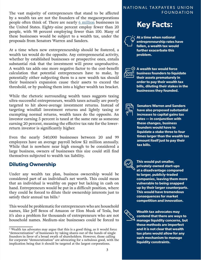The vast majority of entrepreneurs that stand to be affected FOUNDATION by a wealth tax are not the founders of the megacorporations people often think of. There are nearly [6 million](https://www.census.gov/data/tables/2016/econ/susb/2016-susb-annual.html) businesses in the United States. Eighty-nine percent employ fewer than 20 people, with 98 percent employing fewer than 100. Many of these businesses would be subject to a wealth tax, under the proposals from Senators Warren and Sanders.

At a time when new entrepreneurship should be fostered, a wealth tax would do the opposite. Any entrepreneurial activity, whether by established businesses or prospective ones, entails substantial risk that the investment will prove unproductive. A wealth tax adds one more negative factor to the cost-benefit calculation that potential entrepreneurs have to make, by potentially either subjecting them to a new wealth tax should their business's expansion cause their assets to exceed the threshold, or by pushing them into a higher wealth tax bracket.

While the rhetoric surrounding wealth taxes suggests taxing ultra-successful entrepreneurs, wealth taxes actually are poorly targeted to hit above-average investment returns. Instead of targeting windfall investment returns and lightly taxing or exempting normal returns, wealth taxes do the opposite. An investor earning 5 percent is taxed at the same rate as someone earning 20 percent, meaning the effective tax rate for the lowerreturn investor is significantly higher.

Even the nearly 540,000 businesses between 20 and 99 employees have an average payroll below \$2 million annually. While that is nowhere near high enough to be considered a large business, owners of businesses this size could still find themselves subjected to wealth tax liability.

## **Diluting Ownership**

Under any wealth tax plan, business ownership would be considered part of an individual's net worth. This could mean that an individual is wealthy on paper but lacking in cash on hand. Entrepreneurs would be put in a difficult position, where they could be forced to dilute their ownership interests just to satisfy their annual tax bills.<sup>2</sup>

This would be problematic for entrepreneurs who are household names, like Jeff Bezos of Amazon or Elon Musk of Tesla, but it's also a problem for thousands of entrepreneurs who are not household names. Medium-size businesses could be forced to

# NATIONAL TAXPAYERS UNION

# **Key Facts:**

**At a time when national entrepreneurship rates have fallen, a wealth tax would further exacerbate this problem.**



**A wealth tax would force business founders to liquidate their assets prematurely in order to pay their wealth tax bills, diluting their stakes in the businesses they founded.**



**Senators Warren and Sanders have also proposed substantial increases to capital gains tax rates — in conjunction with these changes, business founders would have to liquidate a stake three to four times larger than the wealth tax amount itself just to pay their tax bills.**



**This would put smaller, privately-owned start-ups at a disadvantage compared to larger, publicly-traded companies, leaving them more vulnerable to being snapped up by their larger counterparts. This would have tremendous consequences for market competition and innovation.**



**Wealth tax advocates may contend that there are ways to manage liquidity concerns, but these methods are imperfect and it is not clear that wealth tax plans would allow for any such mechanism to manage liquidity constraints.**

<sup>2</sup> Wealth tax advocates may argue that this is a good thing, as it would force "democratization" of businesses by taking shares out of the hands of single founders in favor of a broad swath of shareholders. However, those calling for corporate "democratization" are advocating for a nebulous good, with the implication being that it should be targeted at the largest corporations.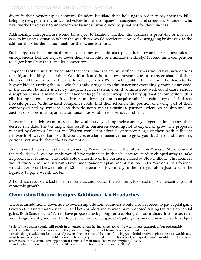#### NATIONAL TAXPAYERS UNION FOUNDATION

diversify their ownership as company founders liquidate their holdings in order to pay their tax bills, bringing new, potentially unwanted voices into the company's management and structure. Founders, who have worked tirelessly to improve their business, would now be penalized for their success.

Additionally, entrepreneurs would be subject to taxation whether the business is profitable or not. It is easy to imagine a situation where the wealth tax would accelerate closure for struggling businesses, as the additional tax burden is too much for the owner to afford.

Such large tax bills for medium-sized businesses could also push them towards premature sales as entrepreneurs look for ways to lower their tax liability or eliminate it entirely.3 It could limit competition as larger firms buy their smaller competitors.

Proponents of the wealth tax counter that these concerns are unjustified. Owners would have new options to mitigate liquidity constraints. One idea floated is to allow entrepreneurs to transfer shares of their closely-held business to the Internal Revenue Service (IRS), which would in turn auction the shares to the highest bidder. Putting the IRS, which already struggles to administer our exceedingly complex tax code, in the auction business is a scary thought. Such a system, even if administered well, could cause serious disruption. It would make it much easier for large firms to swoop in and buy up smaller competitors, thus eliminating potential competitive threats or allowing them to acquire valuable technology or facilities at fire-sale prices. Medium-sized companies could find themselves in the position of having part of their company owned by someone who they do not want as a business partner. Federal ownership and IRS auction of shares in companies is an unserious solution to a serious problem.

Entrepreneurs might want to escape the wealth tax by selling their company altogether, long before their desired sale date. The tax might also result in businesses deciding not to expand or grow. The proposals released by Senators Sanders and Warren would not affect all entrepreneurs, just those with sufficient net worth. However, that tax cliff would create a large incentive not to grow your business, and therefore, personal net worth, above the tax exemption.

Under a wealth tax such as those proposed by Warren or Sanders, the future Elon Musks or Steve Jobses of the early days of Tesla or Apple would have their stake in their businesses steadily chipped away at. Take a hypothetical founder who holds sole ownership of his business, valued at \$100 million.<sup>4</sup> This founder would owe \$1.2 million in wealth taxes under Sanders's plan, and \$1 million under Warren's. This founder would have to sell between either 1.2 or 1 percent of his company in the first year alone just to raise the liquidity to pay a wealth tax bill.

All of these results are bad for entrepreneurs and bad for the economy. Risk-tasking is an essential part of economic growth.

# **Ownership Dilution Triggers Additional Tax Headaches**

There is an additional downside to ownership dilution. Founders would also be forced to pay capital gains taxes on the assets that they sell — and both Sanders and Warren have proposed raising tax rates on capital gains. Both Sanders and Warren have proposed taxing long-term capital gains as ordinary income tax rates would significantly increase the top tax rate on capital gains.<sup>5</sup> Capital gains income would also be subject

<sup>&</sup>lt;sup>3</sup> Sale of the business could still result in an entrepreneur having assets above the wealth tax's exemption, but presumably structuring their assets is easier when they are more liquid, i.e. not business ownership interests.

<sup>4</sup> Establishing a valuation for a privately owned business would be one of the biggest administrative nightmares of a wealth tax. Most businesses this size would likely not be held solely by a single owner, however the majority owner would also likely have other assets in his estate. This hypothetical controls for all these factors for simplicity's sake.

<sup>5</sup> Sanders has proposed this change for filers with household income above \$250,000.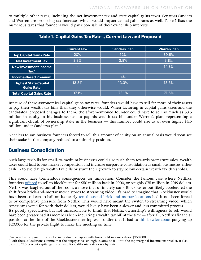to multiple other taxes, including the net investment tax and state capital gains taxes. Senators Sanders and Warren are proposing tax increases which would impact capital gains rates as well. Table 1 lists the numerous taxes that founders would pay upon sale of their ownership interests.

| <b>Table 1. Capital Gains Tax Rates, Current Law and Proposed</b> |                    |                     |                     |
|-------------------------------------------------------------------|--------------------|---------------------|---------------------|
|                                                                   | <b>Current Law</b> | <b>Sanders Plan</b> | <b>Warren Plan</b>  |
| <b>Top Capital Gains Rate</b>                                     | 20%                | 52%                 | 39.6%               |
| <b>Net Investment Tax</b>                                         | 3.8%               | 3.8%                | 3.8%                |
| <b>New Investment Income</b><br>$\textsf{Tax}^6$                  |                    |                     | 14.8%               |
| <b>Income-Based Premium</b>                                       | -                  | 4%                  |                     |
| <b>Highest State Capital</b><br><b>Gains Rate</b>                 | 13.3%              | 13.3%               | $13.\overline{3\%}$ |
| <b>Total Capital Gains Rate</b>                                   | 37.1%              | 73.1%               | 71.5%               |

Because of these astronomical capital gains tax rates, founders would have to sell far more of their assets to pay their wealth tax bills than they otherwise would. When factoring in capital gains taxes and the candidates' proposed changes to them, the aforementioned founder could have to sell as much as \$3.5 million in equity in his business just to pay his wealth tax bill under Warren's plan, representing a significant chunk of ownership stake in the business — this number could rise to an even higher \$4.5 million under Sanders's plan.<sup>7</sup>

Needless to say, business founders forced to sell this amount of equity on an annual basis would soon see their stake in the company reduced to a minority position.

# **Business Consolidation**

Such large tax bills for small-to-medium businesses could also push them towards premature sales. Wealth taxes could lead to less market competition and increase corporate consolidation as small businesses either cash in to avoid high wealth tax bills or stunt their growth to stay below certain wealth tax thresholds.

This could have tremendous consequences for innovation. Consider the famous case where Netflix's founders [offered](https://www.inc.com/minda-zetlin/netflix-blockbuster-meeting-marc-randolph-reed-hastings-john-antioco.html) to sell to Blockbuster for \$50 million back in 2000, or roughly \$75 million in 2019 dollars. Netflix was laughed out of the room, a move that ultimately sunk Blockbuster but likely accelerated the shift from brick-and-mortar movie stores to streaming video. It's hard to imagine that Blockbuster would have been so keen to bail on its nearly [ten thousand brick-and-mortar locations](https://qz.com/144372/a-brief-illustrated-history-of-blockbuster-which-is-closing-the-last-of-its-us-stores/) had it not been forced to by competitive pressure from Netflix. This would have meant the switch to streaming video, which Americans voted for with their dollars, would likely have been a slower and less committed process. It's purely speculative, but not unreasonable to think that Netflix ownership's willingness to sell would have been greater had its members been incurring a wealth tax bill at the time— after all, Netflix's financial position at the time of the Blockbuster meeting was so dire that it had to [think twice about](https://www.vanityfair.com/news/2019/09/netflixs-crazy-doomed-meeting-with-blockbuster) ponying up \$20,000 for the private flight to make the meeting on time.

<sup>6</sup> Warren has proposed this tax for individual taxpayers with household incomes above \$250,000.

<sup>7</sup> Both these calculations assume that the taxpayer has enough income to fall into the top marginal income tax bracket. It also uses the 13.3 percent capital gains tax rate for California, rates vary by state.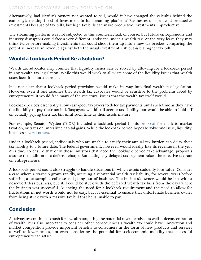#### NATIONAL TAXPAYERS UNION FOUNDATION

Alternatively, had Netflix's owners not wanted to sell, would it have changed the calculus behind the company's ensuing flood of investment in its streaming platform? Businesses do not avoid productive investments because of tax bills, but high tax bills can make productive investments unproductive.

The streaming platform was not subjected to this counterfactual, of course, but future entrepreneurs and industry disruptors could face a very different landscape under a wealth tax. At the very least, they may think twice before making investments that could shoot them up into a new tax bracket, comparing the potential increase in revenue against both the usual investment risk but *also* a higher tax bill.

## **Would a Lookback Period Be a Solution?**

Wealth tax advocates may counter that liquidity issues can be solved by allowing for a lookback period in any wealth tax legislation. While this would work to alleviate some of the liquidity issues that wealth taxes face, it is not a cure-all.

It is not clear that a lookback period provision would make its way into final wealth tax legislation. However, even if one assumes that wealth tax advocates would be sensitive to the problems faced by entrepreneurs, it would face many of the structural issues that the wealth tax itself would.

Lookback periods essentially allow cash-poor taxpayers to defer tax payments until such time as they have the liquidity to pay their tax bill. Taxpayers would still accrue tax liability, but would be able to hold off on actually paying their tax bill until such time as their assets mature.

For example, Senator Wyden (D-OR) included a lookback period in his [proposal](https://www.finance.senate.gov/imo/media/doc/Treat%20Wealth%20Like%20Wages%20RM%20Wyden.pdf) for mark-to-market taxation, or taxes on unrealized capital gains. While the lookback period hopes to solve one issue, liquidity, it causes [several others](https://www.ntu.org/foundation/detail/structural-questions-abound-with-new-mark-to-market-tax-proposal).

Under a lookback period, individuals who are unable to satisfy their annual tax burden can delay their tax liability to a future date. The federal government, however, would ideally like its revenue in the year it is due. To ensure that only those investors that need the lookback period take advantage, proposals assume the addition of a deferral charge. But adding any delayed tax payment raises the effective tax rate on entrepreneurs.

A lookback period could also struggle to handle situations in which assets suddenly lose value. Consider a case where a start-up grows rapidly, accruing a substantial wealth tax liability, for several years before suffering a catastrophic collapse and going out of business. The business's owner would be left with a near-worthless business, but still could be stuck with the deferred wealth tax bills from the days where the business was successful. Balancing the need for a lookback requirement and the need to allow for fluctuations in net worth would not be easy, but it's essential to ensure that unfortunate business owner from being stuck with a massive tax bill that he is unable to pay.

## **Conclusion**

As advocates continue to push for a wealth tax, citing the potential revenue raised as well as deconcentration of wealth, it is also important to consider other consequences a wealth tax could have. Innovation and market competition provide important benefits to consumers in the form of new products and services as well as lower prices, not even considering the potential for socioeconomic mobility that successful entrepreneurs can attain.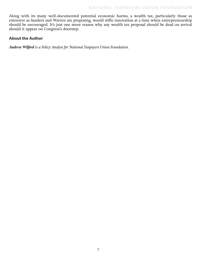Along with its many well-documented potential economic harms, a wealth tax, particularly those as extensive as Sanders and Warren are proposing, would stifle innovation at a time when entrepreneurship should be encouraged. It's just one more reason why any wealth tax proposal should be dead on arrival should it appear on Congress's doorstep.

#### **About the Author**

*Andrew Wilford is a Policy Analyst for National Taxpayers Union Foundation.*